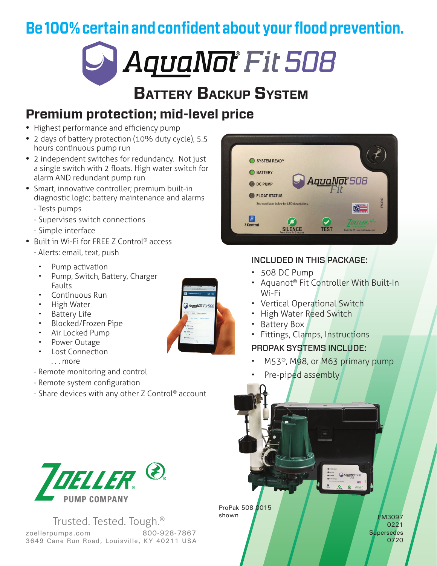**Be 100% certain and confident about your flood prevention.**



# **Battery Backup System**

## **Premium protection; mid-level price**

- **•** Highest performance and efficiency pump
- **•** 2 days of battery protection (10% duty cycle), 5.5 hours continuous pump run
- **•** 2 independent switches for redundancy. Not just a single switch with 2 floats. High water switch for alarm AND redundant pump run
- **•** Smart, innovative controller; premium built-in diagnostic logic; battery maintenance and alarms
	- Tests pumps
	- Supervises switch connections
	- Simple interface
- **•** Built in Wi-Fi for FREE Z Control® access
	- Alerts: email, text, push
		- Pump activation
		- Pump, Switch, Battery, Charger Faults
		- Continuous Run
		- High Water
		- **Battery Life**
		- Blocked/Frozen Pipe
		- Air Locked Pump
		- Power Outage
		- Lost Connection

. . . more

- Remote monitoring and control
- Remote system configuration
- Share devices with any other Z Control® account



Trusted. Tested. Tough.® zoellerpumps.com 800-928-7867 3649 Cane Run Road, Louisville, KY 40211 USA



### INCLUDED IN THIS PACKAGE:

- 508 DC Pump
- Aquanot® Fit Controller With Built-In Wi-Fi
- Vertical Operational Switch
- High Water Reed Switch
- Battery Box
- Fittings, Clamps, Instructions

### PROPAK SYSTEMS INCLUDE:

- M53®, M98, or M63 primary pump
- Pre-piped assembly



ProPak 508-0015 shown

FM3097 0221 **Supersedes** 0720